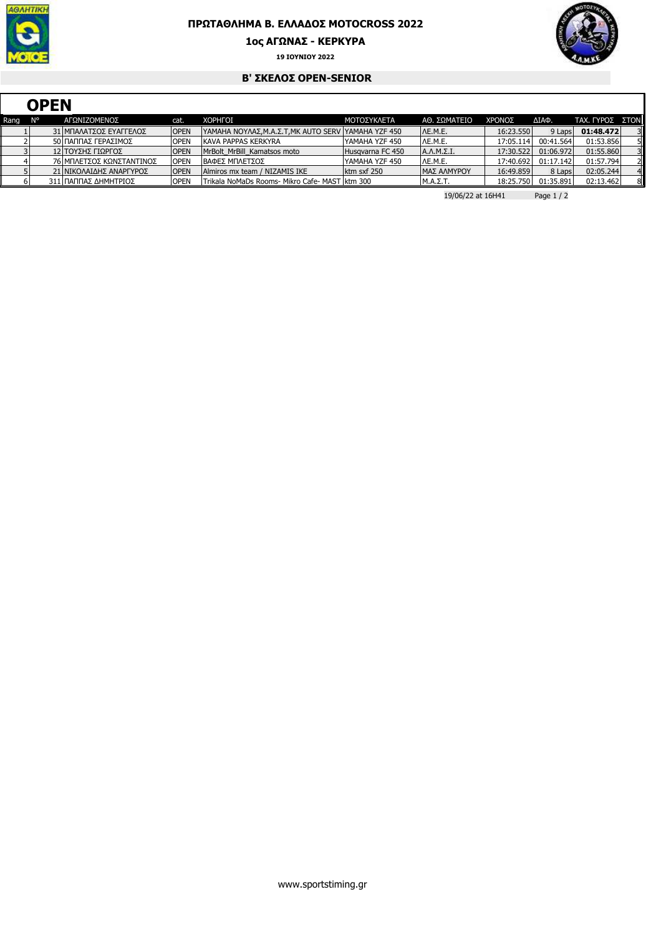

## **ΠΡΩΤΑΘΛΗΜΑ Β. ΕΛΛΑ∆ΟΣ MOTOCROSS 2022**

**1ος ΑΓΩΝΑΣ - ΚΕΡΚΥΡΑ**





## **Β' ΣΚΕΛΟΣ OPEN-SENIOR**

|      | <b>OPEN</b> |  |                          |             |                                                     |                    |                   |           |           |                 |    |  |  |
|------|-------------|--|--------------------------|-------------|-----------------------------------------------------|--------------------|-------------------|-----------|-----------|-----------------|----|--|--|
| Rang | <b>N°</b>   |  | ΑΓΩΝΙΖΟΜΕΝΟΣ             | cat.        | <b>XOPHFOI</b>                                      | <b>ΜΟΤΟΣΥΚΛΕΤΑ</b> | ΑΘ. ΣΩΜΑΤΕΙΟ      | ΧΡΟΝΟΣ    | ΔΙΑΦ.     | TAX. ΓΥΡΟΣ ΣΤΟΝ |    |  |  |
|      |             |  | 31 ΜΠΑΛΑΤΣΟΣ ΕΥΑΓΓΕΛΟΣ   | <b>OPEN</b> | YAMAHA NOYΛΑΣ, Μ.Α.Σ.Τ, ΜΚ AUTO SERV ΥΑΜΑΗΑ ΥΖΕ 450 |                    | IAE.M.E.          | 16:23.550 | 9 Laps    | 01:48.472       |    |  |  |
|      |             |  | 50 ΠΑΠΠΑΣ ΓΕΡΑΣΙΜΟΣ      | <b>OPEN</b> | KAVA PAPPAS KERKYRA                                 | YAMAHA YZF 450     | IAE.M.E.          | 17:05.114 | 00:41.564 | 01:53.856       |    |  |  |
|      |             |  | 12 ΤΟΥΣΗΣ ΓΙΩΡΓΟΣ        | <b>OPEN</b> | MrBolt MrBill Kamatsos moto                         | Husgyarna FC 450   | $A.A.M.\Sigma.I.$ | 17:30.522 | 01:06.972 | 01:55.860       |    |  |  |
|      |             |  | 76 ΜΠΛΕΤΣΟΣ ΚΩΝΣΤΑΝΤΙΝΟΣ | <b>OPEN</b> | ΙΒΑΦΕΣ ΜΠΛΕΤΣΟΣ                                     | YAMAHA YZF 450     | IAE.M.E.          | 17:40.692 | 01:17.142 | 01:57.794       |    |  |  |
|      |             |  | 21 ΝΙΚΟΛΑΙΔΗΣ ΑΝΑΡΓΥΡΟΣ  | <b>OPEN</b> | Almiros mx team / NIZAMIS IKE                       | ktm sxf 250        | ΙΜΑΣ ΑΛΜΥΡΟΥ      | 16:49.859 | 8 Laps    | 02:05.244       |    |  |  |
|      |             |  | 311 ΠΑΠΠΑΣ ΔΗΜΗΤΡΙΟΣ     | <b>OPEN</b> | Trikala NoMaDs Rooms- Mikro Cafe- MAST   ktm 300    |                    | ΙΜ.Α.Σ.Τ.         | 18:25.750 | 01:35.891 | 02:13.462       | 81 |  |  |

19/06/22 at 16H41 Page 1 / 2